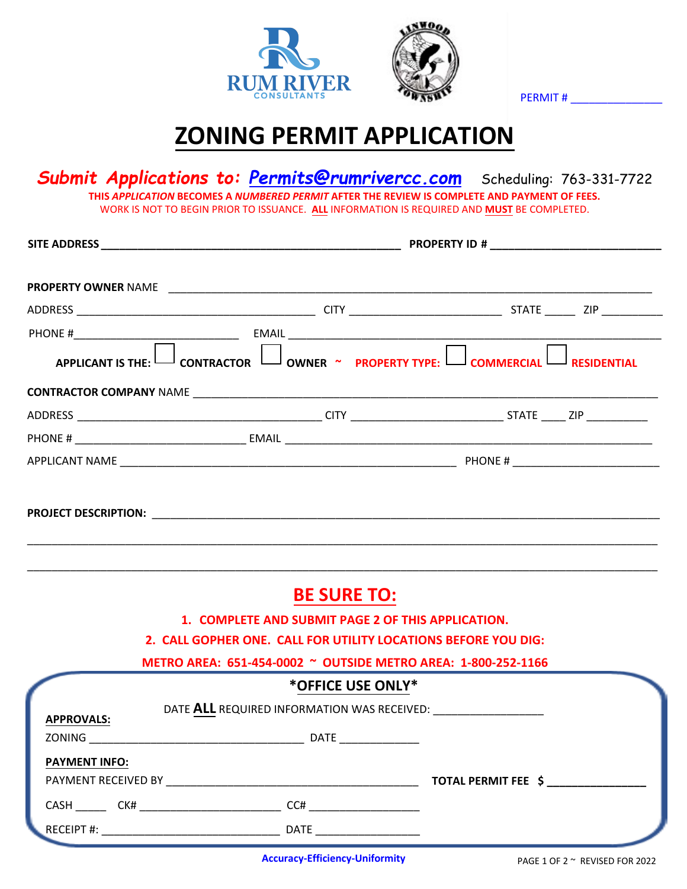

PERMIT #

## **ZONING PERMIT APPLICATION**

*Submit Applications to: Permits@rumrivercc.com* Scheduling: 763-331-7722 **THIS** *APPLICATION* **BECOMES A** *NUMBERED PERMIT* **AFTER THE REVIEW IS COMPLETE AND PAYMENT OF FEES.**  WORK IS NOT TO BEGIN PRIOR TO ISSUANCE. **ALL** INFORMATION IS REQUIRED AND **MUST** BE COMPLETED.

| <b>BE SURE TO:</b> |                                                                                                                                                                                                                                                                                                                                                                               |  |  |
|--------------------|-------------------------------------------------------------------------------------------------------------------------------------------------------------------------------------------------------------------------------------------------------------------------------------------------------------------------------------------------------------------------------|--|--|
|                    |                                                                                                                                                                                                                                                                                                                                                                               |  |  |
|                    |                                                                                                                                                                                                                                                                                                                                                                               |  |  |
|                    |                                                                                                                                                                                                                                                                                                                                                                               |  |  |
|                    |                                                                                                                                                                                                                                                                                                                                                                               |  |  |
|                    |                                                                                                                                                                                                                                                                                                                                                                               |  |  |
| <b>DATE</b>        |                                                                                                                                                                                                                                                                                                                                                                               |  |  |
|                    |                                                                                                                                                                                                                                                                                                                                                                               |  |  |
|                    | TOTAL PERMIT FEE \$                                                                                                                                                                                                                                                                                                                                                           |  |  |
|                    |                                                                                                                                                                                                                                                                                                                                                                               |  |  |
|                    |                                                                                                                                                                                                                                                                                                                                                                               |  |  |
|                    | APPLICANT IS THE: $\Box$ CONTRACTOR $\Box$ OWNER ~ PROPERTY TYPE: $\Box$ COMMERCIAL RESIDENTIAL<br>1. COMPLETE AND SUBMIT PAGE 2 OF THIS APPLICATION.<br>2. CALL GOPHER ONE. CALL FOR UTILITY LOCATIONS BEFORE YOU DIG:<br>METRO AREA: 651-454-0002 ~ OUTSIDE METRO AREA: 1-800-252-1166<br>*OFFICE USE ONLY*<br>PAYMENT RECEIVED BY THE RESERVED BY A STRIKE AND RESERVED BY |  |  |

**Accuracy-Efficiency-Uniformity** PAGE 1 OF 2 ~ REVISED FOR 2022